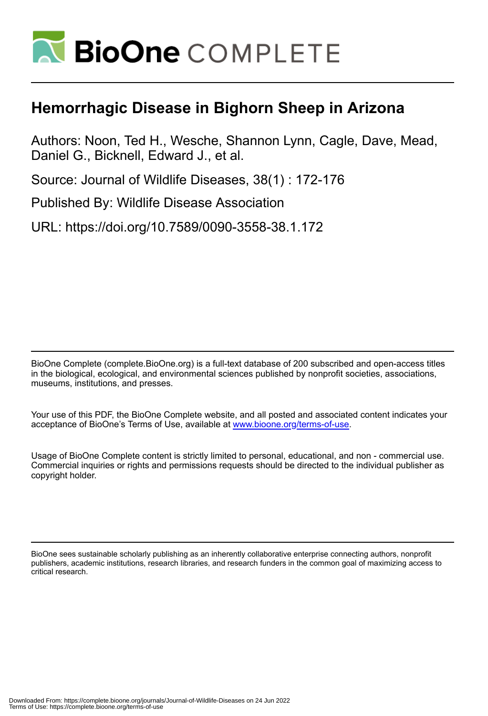

## **Hemorrhagic Disease in Bighorn Sheep in Arizona**

Authors: Noon, Ted H., Wesche, Shannon Lynn, Cagle, Dave, Mead, Daniel G., Bicknell, Edward J., et al.

Source: Journal of Wildlife Diseases, 38(1) : 172-176

Published By: Wildlife Disease Association

URL: https://doi.org/10.7589/0090-3558-38.1.172

BioOne Complete (complete.BioOne.org) is a full-text database of 200 subscribed and open-access titles in the biological, ecological, and environmental sciences published by nonprofit societies, associations, museums, institutions, and presses.

Your use of this PDF, the BioOne Complete website, and all posted and associated content indicates your acceptance of BioOne's Terms of Use, available at www.bioone.org/terms-of-use.

Usage of BioOne Complete content is strictly limited to personal, educational, and non - commercial use. Commercial inquiries or rights and permissions requests should be directed to the individual publisher as copyright holder.

BioOne sees sustainable scholarly publishing as an inherently collaborative enterprise connecting authors, nonprofit publishers, academic institutions, research libraries, and research funders in the common goal of maximizing access to critical research.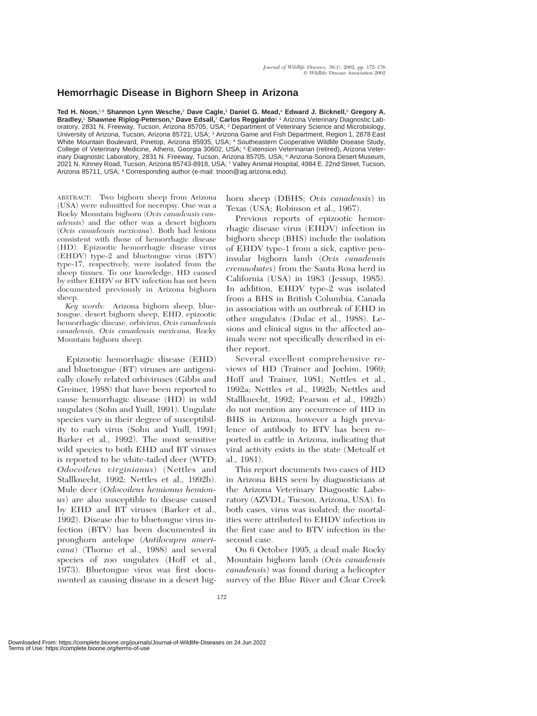## **Hemorrhagic Disease in Bighorn Sheep in Arizona**

**Ted H. Noon,**1,8 **Shannon Lynn Wesche,**<sup>2</sup> **Dave Cagle,**<sup>3</sup> **Daniel G. Mead,**<sup>4</sup> **Edward J. Bicknell,**<sup>5</sup> **Gregory A. Bradley,**<sup>1</sup> **Shawnee Riplog-Peterson,**<sup>6</sup> **Dave Edsall,**<sup>7</sup> **Carlos Reggiardo**1 1 Arizona Veterinary Diagnostic Laboratory, 2831 N. Freeway, Tucson, Arizona 85705, USA; <sup>2</sup> Department of Veterinary Science and Microbiology, University of Arizona, Tucson, Arizona 85721, USA; <sup>3</sup> Arizona Game and Fish Department, Region 1, 2878 East White Mountain Boulevard, Pinetop, Arizona 85935, USA; <sup>4</sup> Southeastern Cooperative Wildlife Disease Study, College of Veterinary Medicine, Athens, Georgia 30602, USA; <sup>5</sup> Extension Veterinarian (retired), Arizona Veterinary Diagnostic Laboratory, 2831 N. Freeway, Tucson, Arizona 85705, USA; <sup>6</sup> Arizona-Sonora Desert Museum, 2021 N. Kinney Road, Tucson, Arizona 85743-8918, USA; <sup>7</sup> Valley Animal Hospital, 4984 E. 22nd Street, Tucson, Arizona 85711, USA; <sup>8</sup> Corresponding author (e-mail: tnoon@ag.arizona.edu).

ABSTRACT: Two bighorn sheep from Arizona (USA) were submitted for necropsy. One was a Rocky Mountain bighorn (*Ovis canadensis canadensis*) and the other was a desert bighorn (*Ovis canadensis mexicana*). Both had lesions consistent with those of hemorrhagic disease (HD). Epizootic hemorrhagic disease virus (EHDV) type-2 and bluetongue virus (BTV) type-17, respectively, were isolated from the sheep tissues. To our knowledge, HD caused by either EHDV or BTV infection has not been documented previously in Arizona bighorn sheep.

*Key words:* Arizona bighorn sheep, bluetongue, desert bighorn sheep, EHD, epizootic hemorrhagic disease, orbivirus, *Ovis canadensis canadensis, Ovis canadensis mexicana,* Rocky Mountain bighorn sheep.

Epizootic hemorrhagic disease (EHD) and bluetongue (BT) viruses are antigenically closely related orbiviruses (Gibbs and Greiner, 1988) that have been reported to cause hemorrhagic disease (HD) in wild ungulates (Sohn and Yuill, 1991). Ungulate species vary in their degree of susceptibility to each virus (Sohn and Yuill, 1991; Barker et al., 1992). The most sensitive wild species to both EHD and BT viruses is reported to be white-tailed deer (WTD; *Odocoileus virginianus*) (Nettles and Stallknecht, 1992; Nettles et al., 1992b). Mule deer (*Odocoileus hemionus hemionus*) are also susceptible to disease caused by EHD and BT viruses (Barker et al., 1992). Disease due to bluetongue virus infection (BTV) has been documented in pronghorn antelope (*Antilocapra americana*) (Thorne et al., 1988) and several species of zoo ungulates (Hoff et al., 1973). Bluetongue virus was first documented as causing disease in a desert bighorn sheep (DBHS; *Ovis canadensis*) in Texas (USA; Robinson et al., 1967).

Previous reports of epizootic hemorrhagic disease virus (EHDV) infection in bighorn sheep (BHS) include the isolation of EHDV type-1 from a sick, captive peninsular bighorn lamb (*Ovis canadensis cremnobates*) from the Santa Rosa herd in California (USA) in 1983 (Jessup, 1985). In addition, EHDV type-2 was isolated from a BHS in British Columbia, Canada in association with an outbreak of EHD in other ungulates (Dulac et al., 1988). Lesions and clinical signs in the affected animals were not specifically described in either report.

Several excellent comprehensive reviews of HD (Trainer and Jochim, 1969; Hoff and Trainer, 1981; Nettles et al., 1992a; Nettles et al., 1992b; Nettles and Stallknecht, 1992; Pearson et al., 1992b) do not mention any occurrence of HD in BHS in Arizona, however a high prevalence of antibody to BTV has been reported in cattle in Arizona, indicating that viral activity exists in the state (Metcalf et al., 1981).

This report documents two cases of HD in Arizona BHS seen by diagnosticians at the Arizona Veterinary Diagnostic Laboratory (AZVDL; Tucson, Arizona, USA). In both cases, virus was isolated; the mortalities were attributed to EHDV infection in the first case and to BTV infection in the second case.

On 6 October 1995, a dead male Rocky Mountain bighorn lamb (*Ovis canadensis canadensis*) was found during a helicopter survey of the Blue River and Clear Creek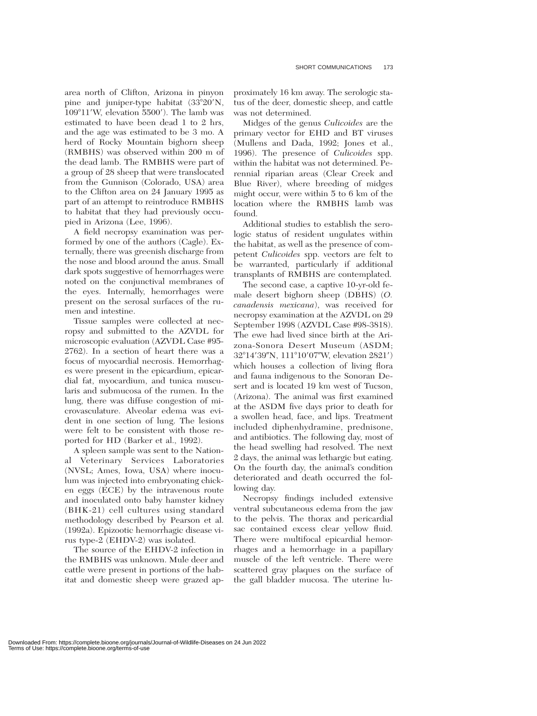area north of Clifton, Arizona in pinyon pine and juniper-type habitat (33°20'N, 109°11′W, elevation 5500′). The lamb was estimated to have been dead 1 to 2 hrs, and the age was estimated to be 3 mo. A herd of Rocky Mountain bighorn sheep (RMBHS) was observed within 200 m of the dead lamb. The RMBHS were part of a group of 28 sheep that were translocated from the Gunnison (Colorado, USA) area to the Clifton area on 24 January 1995 as part of an attempt to reintroduce RMBHS to habitat that they had previously occupied in Arizona (Lee, 1996).

A field necropsy examination was performed by one of the authors (Cagle). Externally, there was greenish discharge from the nose and blood around the anus. Small dark spots suggestive of hemorrhages were noted on the conjunctival membranes of the eyes. Internally, hemorrhages were present on the serosal surfaces of the rumen and intestine.

Tissue samples were collected at necropsy and submitted to the AZVDL for microscopic evaluation (AZVDL Case #95- 2762). In a section of heart there was a focus of myocardial necrosis. Hemorrhages were present in the epicardium, epicardial fat, myocardium, and tunica muscularis and submucosa of the rumen. In the lung, there was diffuse congestion of microvasculature. Alveolar edema was evident in one section of lung. The lesions were felt to be consistent with those reported for HD (Barker et al., 1992).

A spleen sample was sent to the National Veterinary Services Laboratories (NVSL; Ames, Iowa, USA) where inoculum was injected into embryonating chicken eggs (ECE) by the intravenous route and inoculated onto baby hamster kidney (BHK-21) cell cultures using standard methodology described by Pearson et al. (1992a). Epizootic hemorrhagic disease virus type-2 (EHDV-2) was isolated.

The source of the EHDV-2 infection in the RMBHS was unknown. Mule deer and cattle were present in portions of the habitat and domestic sheep were grazed ap-

proximately 16 km away. The serologic status of the deer, domestic sheep, and cattle was not determined.

Midges of the genus *Culicoides* are the primary vector for EHD and BT viruses (Mullens and Dada, 1992; Jones et al., 1996). The presence of *Culicoides* spp. within the habitat was not determined. Perennial riparian areas (Clear Creek and Blue River), where breeding of midges might occur, were within 5 to 6 km of the location where the RMBHS lamb was found.

Additional studies to establish the serologic status of resident ungulates within the habitat, as well as the presence of competent *Culicoides* spp. vectors are felt to be warranted, particularly if additional transplants of RMBHS are contemplated.

The second case, a captive 10-yr-old female desert bighorn sheep (DBHS) (*O. canadensis mexicana*), was received for necropsy examination at the AZVDL on 29 September 1998 (AZVDL Case #98-3818). The ewe had lived since birth at the Arizona-Sonora Desert Museum (ASDM; 32°14′39″N, 111°10′07″W, elevation 2821′) which houses a collection of living flora and fauna indigenous to the Sonoran Desert and is located 19 km west of Tucson, (Arizona). The animal was first examined at the ASDM five days prior to death for a swollen head, face, and lips. Treatment included diphenhydramine, prednisone, and antibiotics. The following day, most of the head swelling had resolved. The next 2 days, the animal was lethargic but eating. On the fourth day, the animal's condition deteriorated and death occurred the following day.

Necropsy findings included extensive ventral subcutaneous edema from the jaw to the pelvis. The thorax and pericardial sac contained excess clear yellow fluid. There were multifocal epicardial hemorrhages and a hemorrhage in a papillary muscle of the left ventricle. There were scattered gray plaques on the surface of the gall bladder mucosa. The uterine lu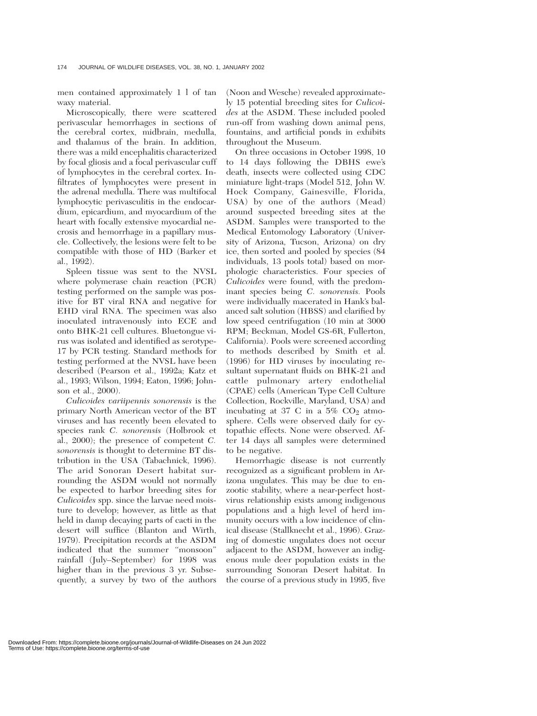men contained approximately 1 l of tan waxy material.

Microscopically, there were scattered perivascular hemorrhages in sections of the cerebral cortex, midbrain, medulla, and thalamus of the brain. In addition, there was a mild encephalitis characterized by focal gliosis and a focal perivascular cuff of lymphocytes in the cerebral cortex. Infiltrates of lymphocytes were present in the adrenal medulla. There was multifocal lymphocytic perivasculitis in the endocardium, epicardium, and myocardium of the heart with focally extensive myocardial necrosis and hemorrhage in a papillary muscle. Collectively, the lesions were felt to be compatible with those of HD (Barker et al., 1992).

Spleen tissue was sent to the NVSL where polymerase chain reaction (PCR) testing performed on the sample was positive for BT viral RNA and negative for EHD viral RNA. The specimen was also inoculated intravenously into ECE and onto BHK-21 cell cultures. Bluetongue virus was isolated and identified as serotype-17 by PCR testing. Standard methods for testing performed at the NVSL have been described (Pearson et al., 1992a; Katz et al., 1993; Wilson, 1994; Eaton, 1996; Johnson et al., 2000).

*Culicoides variipennis sonorensis* is the primary North American vector of the BT viruses and has recently been elevated to species rank *C. sonorensis* (Holbrook et al., 2000); the presence of competent *C. sonorensis* is thought to determine BT distribution in the USA (Tabachnick, 1996). The arid Sonoran Desert habitat surrounding the ASDM would not normally be expected to harbor breeding sites for *Culicoides* spp. since the larvae need moisture to develop; however, as little as that held in damp decaying parts of cacti in the desert will suffice (Blanton and Wirth, 1979). Precipitation records at the ASDM indicated that the summer ''monsoon'' rainfall (July–September) for 1998 was higher than in the previous 3 yr. Subsequently, a survey by two of the authors

(Noon and Wesche) revealed approximately 15 potential breeding sites for *Culicoides* at the ASDM. These included pooled run-off from washing down animal pens, fountains, and artificial ponds in exhibits throughout the Museum.

On three occasions in October 1998, 10 to 14 days following the DBHS ewe's death, insects were collected using CDC miniature light-traps (Model 512, John W. Hock Company, Gainesville, Florida, USA) by one of the authors (Mead) around suspected breeding sites at the ASDM. Samples were transported to the Medical Entomology Laboratory (University of Arizona, Tucson, Arizona) on dry ice, then sorted and pooled by species (84 individuals, 13 pools total) based on morphologic characteristics. Four species of *Culicoides* were found, with the predominant species being *C. sonorensis.* Pools were individually macerated in Hank's balanced salt solution (HBSS) and clarified by low speed centrifugation (10 min at 3000 RPM; Beckman, Model GS-6R, Fullerton, California). Pools were screened according to methods described by Smith et al. (1996) for HD viruses by inoculating resultant supernatant fluids on BHK-21 and cattle pulmonary artery endothelial (CPAE) cells (American Type Cell Culture Collection, Rockville, Maryland, USA) and incubating at 37 C in a  $5\%$  CO<sub>2</sub> atmosphere. Cells were observed daily for cytopathic effects. None were observed. After 14 days all samples were determined to be negative.

Hemorrhagic disease is not currently recognized as a significant problem in Arizona ungulates. This may be due to enzootic stability, where a near-perfect hostvirus relationship exists among indigenous populations and a high level of herd immunity occurs with a low incidence of clinical disease (Stallknecht et al., 1996). Grazing of domestic ungulates does not occur adjacent to the ASDM, however an indigenous mule deer population exists in the surrounding Sonoran Desert habitat. In the course of a previous study in 1995, five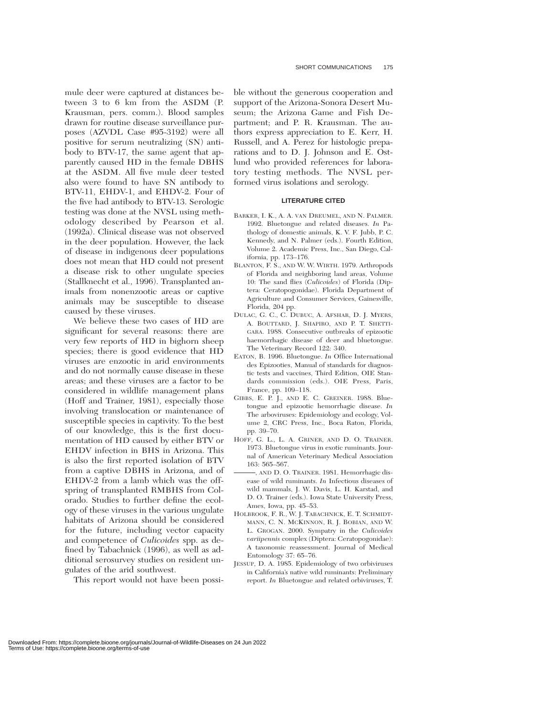mule deer were captured at distances between 3 to 6 km from the ASDM (P. Krausman, pers. comm.). Blood samples drawn for routine disease surveillance purposes (AZVDL Case #95-3192) were all positive for serum neutralizing (SN) antibody to BTV-17, the same agent that apparently caused HD in the female DBHS at the ASDM. All five mule deer tested also were found to have SN antibody to BTV-11, EHDV-1, and EHDV-2. Four of the five had antibody to BTV-13. Serologic testing was done at the NVSL using methodology described by Pearson et al. (1992a). Clinical disease was not observed in the deer population. However, the lack of disease in indigenous deer populations does not mean that HD could not present a disease risk to other ungulate species (Stallknecht et al., 1996). Transplanted animals from nonenzootic areas or captive animals may be susceptible to disease caused by these viruses.

We believe these two cases of HD are significant for several reasons: there are very few reports of HD in bighorn sheep species; there is good evidence that HD viruses are enzootic in arid environments and do not normally cause disease in these areas; and these viruses are a factor to be considered in wildlife management plans (Hoff and Trainer, 1981), especially those involving translocation or maintenance of susceptible species in captivity. To the best of our knowledge, this is the first documentation of HD caused by either BTV or EHDV infection in BHS in Arizona. This is also the first reported isolation of BTV from a captive DBHS in Arizona, and of EHDV-2 from a lamb which was the offspring of transplanted RMBHS from Colorado. Studies to further define the ecology of these viruses in the various ungulate habitats of Arizona should be considered for the future, including vector capacity and competence of *Culicoides* spp. as defined by Tabachnick (1996), as well as additional serosurvey studies on resident ungulates of the arid southwest.

This report would not have been possi-

ble without the generous cooperation and support of the Arizona-Sonora Desert Museum; the Arizona Game and Fish Department; and P. R. Krausman. The authors express appreciation to E. Kerr, H. Russell, and A. Perez for histologic preparations and to D. J. Johnson and E. Ostlund who provided references for laboratory testing methods. The NVSL performed virus isolations and serology.

## **LITERATURE CITED**

- BARKER, I. K., A. A. VAN DREUMEL, AND N. PALMER. 1992. Bluetongue and related diseases. *In* Pathology of domestic animals, K. V. F. Jubb, P. C. Kennedy, and N. Palmer (eds.). Fourth Edition, Volume 2. Academic Press, Inc., San Diego, California, pp. 173–176.
- BLANTON, F. S., AND W. W. WIRTH. 1979. Arthropods of Florida and neighboring land areas, Volume 10: The sand flies (*Culicoides*) of Florida (Diptera: Ceratopogonidae). Florida Department of Agriculture and Consumer Services, Gainesville, Florida, 204 pp.
- DULAC, G. C., C. DUBUC, A. AFSHAR, D. J. MYERS, A. BOUTTARD, J. SHAPIRO, AND P. T. SHETTI-GARA. 1988. Consecutive outbreaks of epizootic haemorrhagic disease of deer and bluetongue. The Veterinary Record 122: 340.
- EATON, B. 1996. Bluetongue. *In* Office International des Epizooties, Manual of standards for diagnostic tests and vaccines, Third Edition, OIE Standards commission (eds.). OIE Press, Paris, France, pp. 109–118.
- GIBBS, E. P. J., AND E. C. GREINER. 1988. Bluetongue and epizootic hemorrhagic disease. *In* The arboviruses: Epidemiology and ecology, Volume 2, CRC Press, Inc., Boca Raton, Florida, pp. 39–70.
- HOFF, G. L., L. A. GRINER, AND D. O. TRAINER. 1973. Bluetongue virus in exotic ruminants. Journal of American Veterinary Medical Association 163: 565–567.
- , AND D. O. TRAINER. 1981. Hemorrhagic disease of wild ruminants. *In* Infectious diseases of wild mammals, J. W. Davis, L. H. Karstad, and D. O. Trainer (eds.). Iowa State University Press, Ames, Iowa, pp. 45–53.
- HOLBROOK, F. R., W. J. TABACHNICK, E. T. SCHMIDT-MANN, C. N. MCKINNON, R. J. BOBIAN, AND W. L. GROGAN. 2000. Sympatry in the *Culicoides variipennis* complex (Diptera: Ceratopogonidae): A taxonomic reassessment. Journal of Medical Entomology 37: 65–76.
- JESSUP, D. A. 1985. Epidemiology of two orbiviruses in California's native wild ruminants: Preliminary report. *In* Bluetongue and related orbiviruses, T.